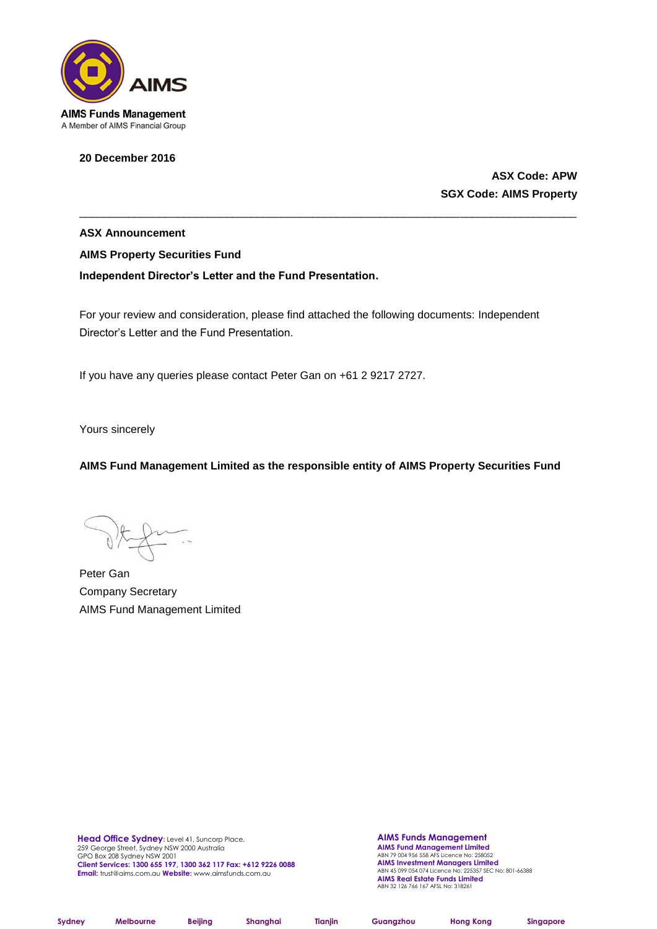

**20 December 2016**

**ASX Code: APW SGX Code: AIMS Property**

**ASX Announcement AIMS Property Securities Fund Independent Director's Letter and the Fund Presentation.**

For your review and consideration, please find attached the following documents: Independent Director's Letter and the Fund Presentation.

\_\_\_\_\_\_\_\_\_\_\_\_\_\_\_\_\_\_\_\_\_\_\_\_\_\_\_\_\_\_\_\_\_\_\_\_\_\_\_\_\_\_\_\_\_\_\_\_\_\_\_\_\_\_\_\_\_\_\_\_\_\_\_\_\_\_\_\_\_\_\_\_\_\_\_\_\_\_\_\_\_

If you have any queries please contact Peter Gan on +61 2 9217 2727.

Yours sincerely

**AIMS Fund Management Limited as the responsible entity of AIMS Property Securities Fund**

Peter Gan Company Secretary AIMS Fund Management Limited

**Head Office Sydney:** Level 41, Suncorp Place, 259 George Street, Sydney NSW 2000 Australia GPO Box 208 Sydney NSW 2001 **Client Services: 1300 655 197, 1300 362 117 Fax: +612 9226 0088 Email:** trust@aims.com.au **Website:** www.aimsfunds.com.au

**AIMS Funds Management AIMS Fund Management Limited** ABN 79 004 956 558 AFS Licence No: 258052 **AIMS Investment Managers Limited** ABN 45 099 054 074 Licence No: 225357 SEC No: 801-66388 **AIMS Real Estate Funds Limited** ABN 32 126 766 167 AFSL No: 318261

| Sydney | Melbourne | Beijing | Shanghai | <b>Tianiin</b> | Guangzhou | <b>Hong Kong</b> | Singapore |
|--------|-----------|---------|----------|----------------|-----------|------------------|-----------|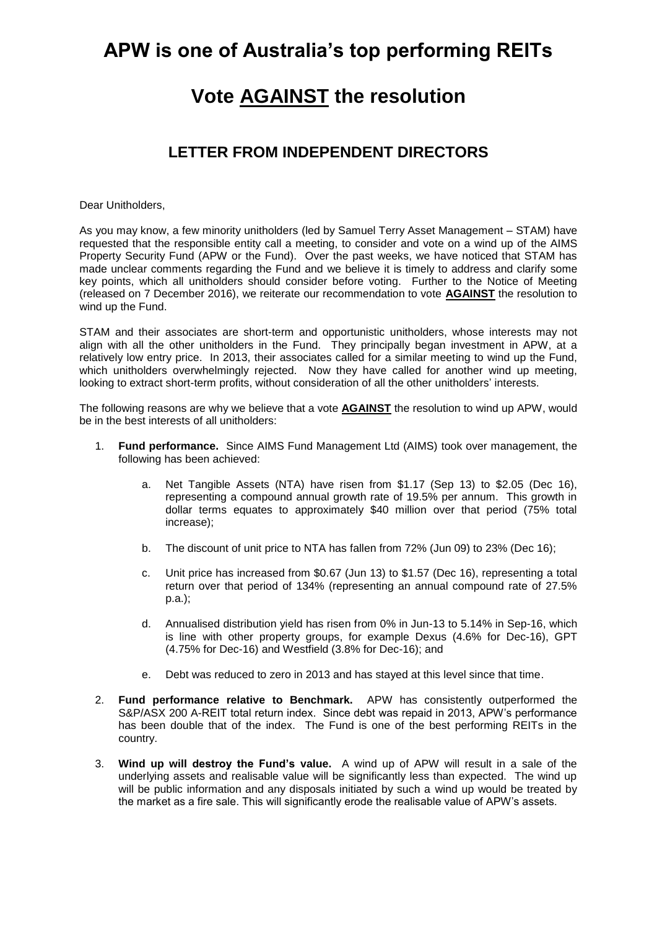## **APW is one of Australia's top performing REITs**

# **Vote AGAINST the resolution**

#### **LETTER FROM INDEPENDENT DIRECTORS**

Dear Unitholders,

As you may know, a few minority unitholders (led by Samuel Terry Asset Management – STAM) have requested that the responsible entity call a meeting, to consider and vote on a wind up of the AIMS Property Security Fund (APW or the Fund). Over the past weeks, we have noticed that STAM has made unclear comments regarding the Fund and we believe it is timely to address and clarify some key points, which all unitholders should consider before voting. Further to the Notice of Meeting (released on 7 December 2016), we reiterate our recommendation to vote **AGAINST** the resolution to wind up the Fund.

STAM and their associates are short-term and opportunistic unitholders, whose interests may not align with all the other unitholders in the Fund. They principally began investment in APW, at a relatively low entry price. In 2013, their associates called for a similar meeting to wind up the Fund, which unitholders overwhelmingly rejected. Now they have called for another wind up meeting, looking to extract short-term profits, without consideration of all the other unitholders' interests.

The following reasons are why we believe that a vote **AGAINST** the resolution to wind up APW, would be in the best interests of all unitholders:

- 1. **Fund performance.** Since AIMS Fund Management Ltd (AIMS) took over management, the following has been achieved:
	- a. Net Tangible Assets (NTA) have risen from \$1.17 (Sep 13) to \$2.05 (Dec 16), representing a compound annual growth rate of 19.5% per annum. This growth in dollar terms equates to approximately \$40 million over that period (75% total increase);
	- b. The discount of unit price to NTA has fallen from 72% (Jun 09) to 23% (Dec 16);
	- c. Unit price has increased from \$0.67 (Jun 13) to \$1.57 (Dec 16), representing a total return over that period of 134% (representing an annual compound rate of 27.5% p.a.);
	- d. Annualised distribution yield has risen from 0% in Jun-13 to 5.14% in Sep-16, which is line with other property groups, for example Dexus (4.6% for Dec-16), GPT (4.75% for Dec-16) and Westfield (3.8% for Dec-16); and
	- e. Debt was reduced to zero in 2013 and has stayed at this level since that time.
- 2. **Fund performance relative to Benchmark.** APW has consistently outperformed the S&P/ASX 200 A-REIT total return index. Since debt was repaid in 2013, APW's performance has been double that of the index. The Fund is one of the best performing REITs in the country.
- 3. **Wind up will destroy the Fund's value.** A wind up of APW will result in a sale of the underlying assets and realisable value will be significantly less than expected. The wind up will be public information and any disposals initiated by such a wind up would be treated by the market as a fire sale. This will significantly erode the realisable value of APW's assets.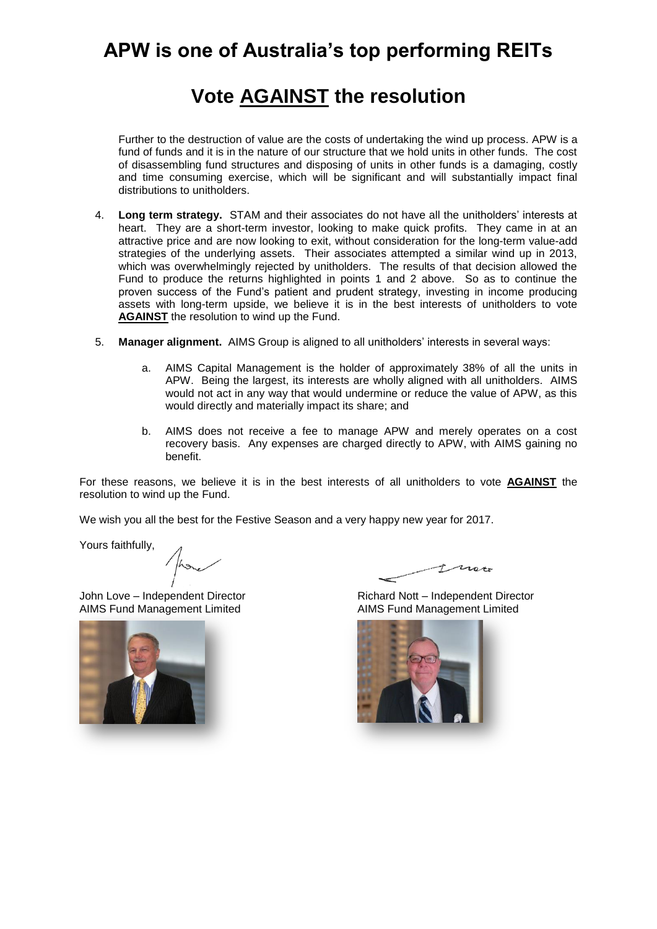## **APW is one of Australia's top performing REITs**

# **Vote AGAINST the resolution**

Further to the destruction of value are the costs of undertaking the wind up process. APW is a fund of funds and it is in the nature of our structure that we hold units in other funds. The cost of disassembling fund structures and disposing of units in other funds is a damaging, costly and time consuming exercise, which will be significant and will substantially impact final distributions to unitholders.

- 4. **Long term strategy.** STAM and their associates do not have all the unitholders' interests at heart. They are a short-term investor, looking to make quick profits. They came in at an attractive price and are now looking to exit, without consideration for the long-term value-add strategies of the underlying assets. Their associates attempted a similar wind up in 2013, which was overwhelmingly rejected by unitholders. The results of that decision allowed the Fund to produce the returns highlighted in points 1 and 2 above. So as to continue the proven success of the Fund's patient and prudent strategy, investing in income producing assets with long-term upside, we believe it is in the best interests of unitholders to vote **AGAINST** the resolution to wind up the Fund.
- 5. **Manager alignment.** AIMS Group is aligned to all unitholders' interests in several ways:
	- a. AIMS Capital Management is the holder of approximately 38% of all the units in APW. Being the largest, its interests are wholly aligned with all unitholders. AIMS would not act in any way that would undermine or reduce the value of APW, as this would directly and materially impact its share; and
	- b. AIMS does not receive a fee to manage APW and merely operates on a cost recovery basis. Any expenses are charged directly to APW, with AIMS gaining no benefit.

For these reasons, we believe it is in the best interests of all unitholders to vote **AGAINST** the resolution to wind up the Fund.

We wish you all the best for the Festive Season and a very happy new year for 2017.

Yours faithfully,

AIMS Fund Management Limited AIMS Fund Management Limited



Tracto

John Love – Independent Director Richard Nott – Independent Director

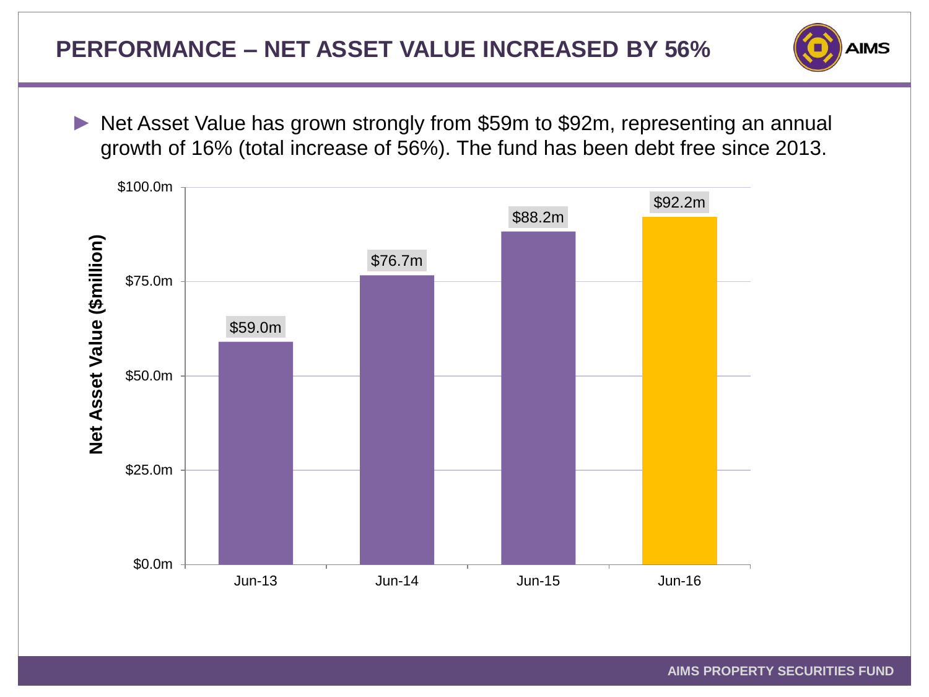

Net Asset Value has grown strongly from \$59m to \$92m, representing an annual growth of 16% (total increase of 56%). The fund has been debt free since 2013.

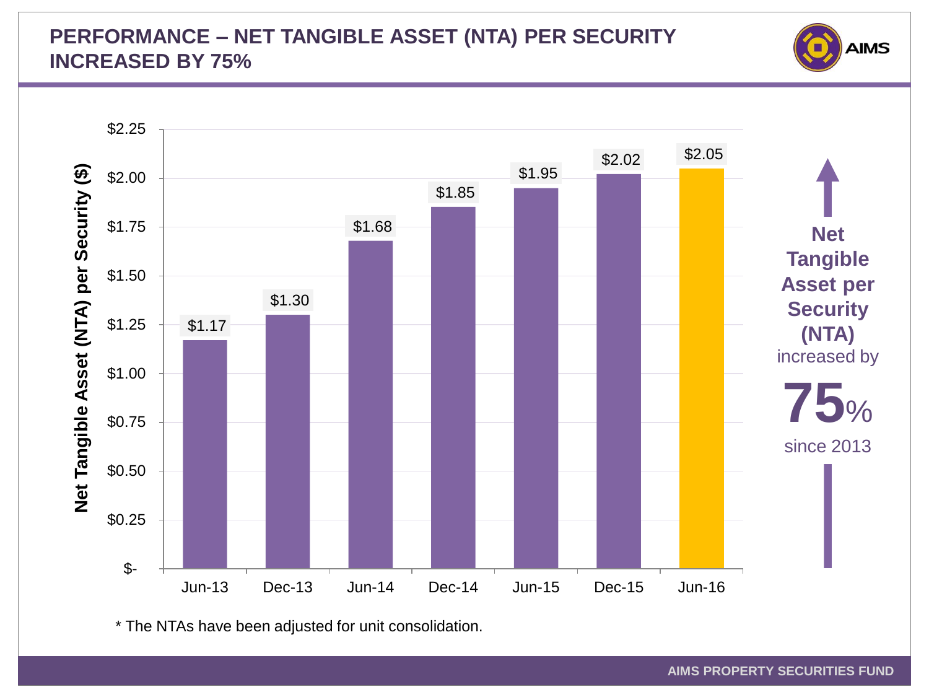#### **PERFORMANCE – NET TANGIBLE ASSET (NTA) PER SECURITY INCREASED BY 75%**





\* The NTAs have been adjusted for unit consolidation.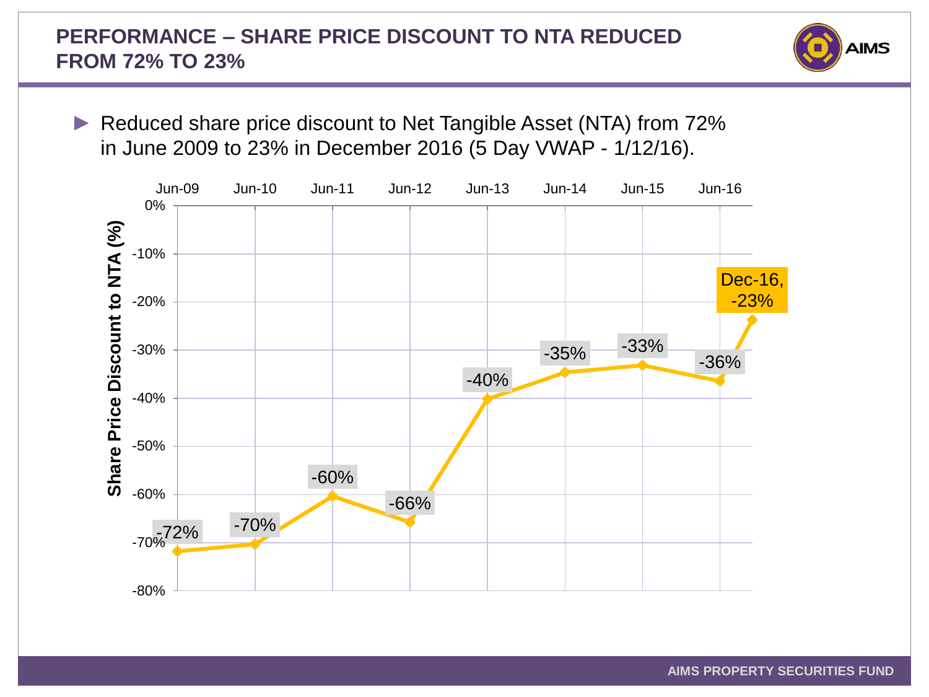## **PERFORMANCE – SHARE PRICE DISCOUNT TO NTA REDUCED FROM 72% TO 23%**



Reduced share price discount to Net Tangible Asset (NTA) from 72% in June 2009 to 23% in December 2016 (5 Day VWAP - 1/12/16).

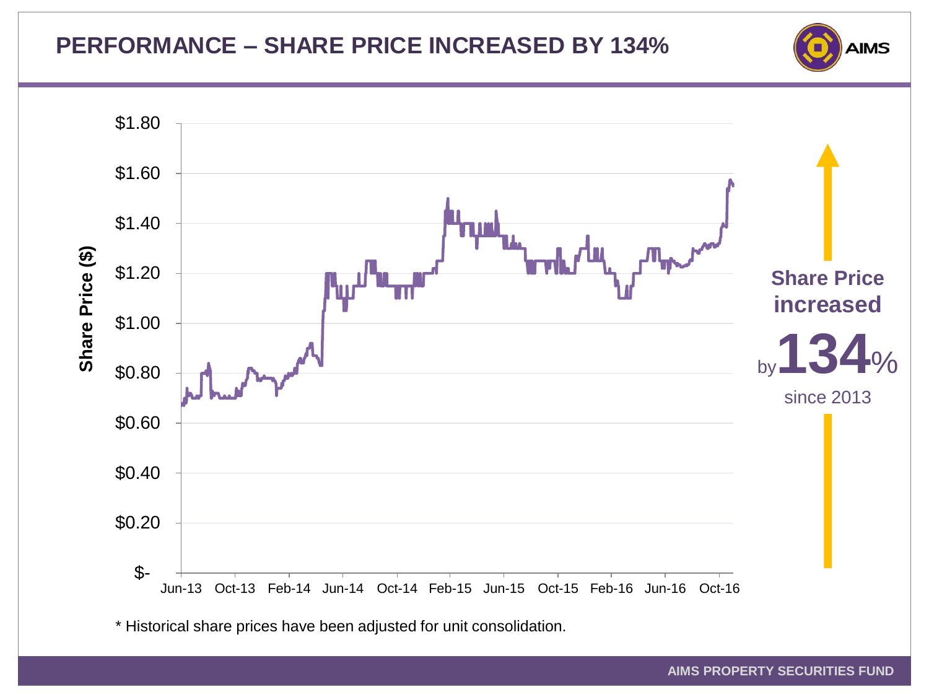# **PERFORMANCE – SHARE PRICE INCREASED BY 134%**





\* Historical share prices have been adjusted for unit consolidation.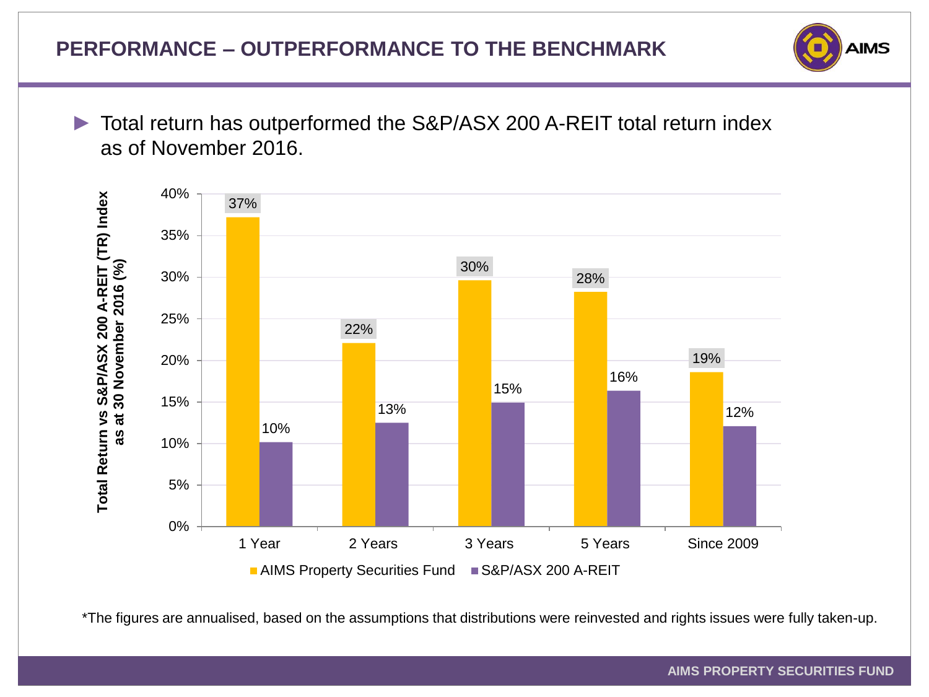

► Total return has outperformed the S&P/ASX 200 A-REIT total return index as of November 2016.



\*The figures are annualised, based on the assumptions that distributions were reinvested and rights issues were fully taken-up.